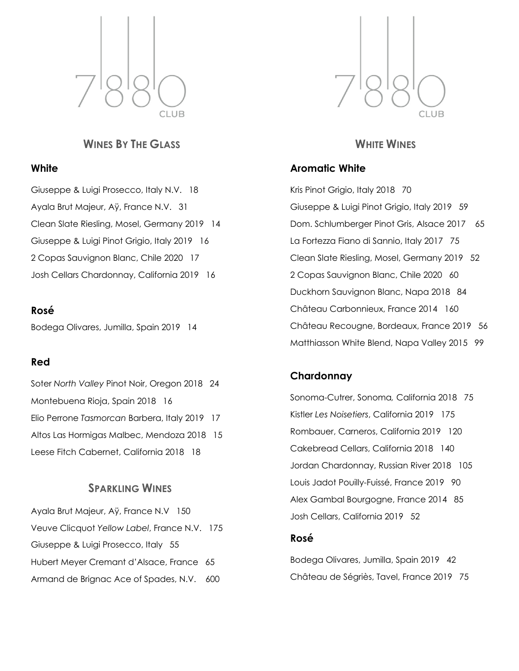

# **WINES BY THE GLASS**

#### **White**

Giuseppe & Luigi Prosecco, Italy N.V. 18 Ayala Brut Majeur, Aÿ, France N.V. 31 Clean Slate Riesling, Mosel, Germany 2019 14 Giuseppe & Luigi Pinot Grigio, Italy 2019 16 2 Copas Sauvignon Blanc, Chile 2020 17 Josh Cellars Chardonnay, California 2019 16

#### **Rosé**

Bodega Olivares, Jumilla, Spain 2019 14

### **Red**

Soter *North Valley* Pinot Noir, Oregon 2018 24 Montebuena Rioja, Spain 2018 16 Elio Perrone *Tasmorcan* Barbera, Italy 2019 17 Altos Las Hormigas Malbec, Mendoza 2018 15 Leese Fitch Cabernet, California 2018 18

## **SPARKLING WINES**

Ayala Brut Majeur, Aÿ, France N.V 150 Veuve Clicquot *Yellow Label*, France N.V. 175 Giuseppe & Luigi Prosecco, Italy 55 Hubert Meyer Cremant d'Alsace, France 65 Armand de Brignac Ace of Spades, N.V. 600



## **WHITE WINES**

## **Aromatic White**

Kris Pinot Grigio, Italy 2018 70 Giuseppe & Luigi Pinot Grigio, Italy 2019 59 Dom. Schlumberger Pinot Gris, Alsace 2017 65 La Fortezza Fiano di Sannio, Italy 2017 75 Clean Slate Riesling, Mosel, Germany 2019 52 2 Copas Sauvignon Blanc, Chile 2020 60 Duckhorn Sauvignon Blanc, Napa 2018 84 Château Carbonnieux, France 2014 160 Château Recougne, Bordeaux, France 2019 56 Matthiasson White Blend, Napa Valley 2015 99

### **Chardonnay**

Sonoma-Cutrer, Sonoma*,* California 2018 75 Kistler *Les Noisetiers*, California 2019 175 Rombauer, Carneros, California 2019 120 Cakebread Cellars, California 2018 140 Jordan Chardonnay, Russian River 2018 105 Louis Jadot Pouilly-Fuissé, France 2019 90 Alex Gambal Bourgogne, France 2014 85 Josh Cellars, California 2019 52

### **Rosé**

Bodega Olivares, Jumilla, Spain 2019 42 Château de Ségriès, Tavel, France 2019 75